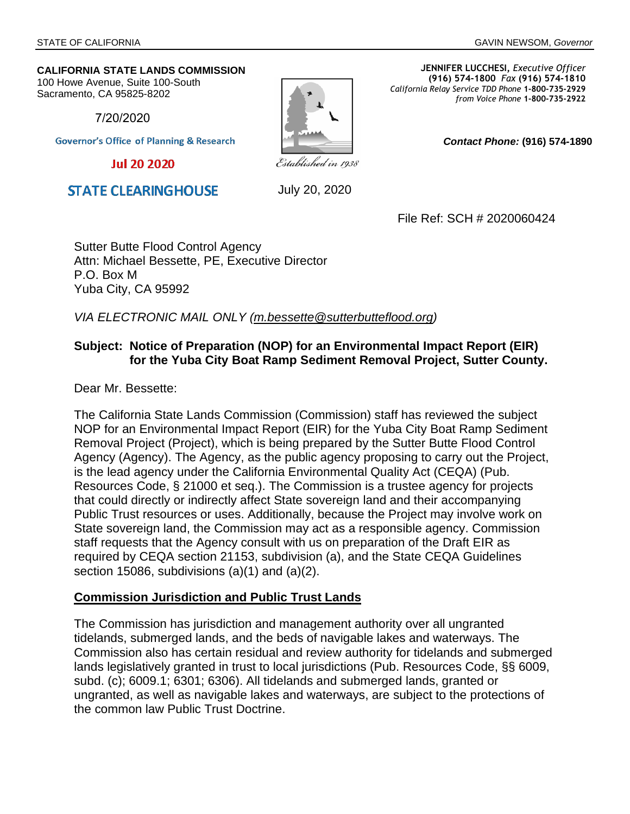#### **CALIFORNIA STATE LANDS COMMISSION**

100 Howe Avenue, Suite 100-South Sacramento, CA 95825-8202

7/20/2020

**Governor's Office of Planning & Research** 

**Jul 20 2020** 

**JENNIFER LUCCHESI,** *Executive Officer* **(916) 574-1800** *Fax* **(916) 574-1810**  *California Relay Service TDD Phone* **1-800-735-2929** *from Voice Phone* **1-800-735-2922** 

*Contact Phone:* **(916) 574-1890** 

**STATE CLEARINGHOUSE** 

July 20, 2020

File Ref: SCH # 2020060424

Sutter Butte Flood Control Agency Attn: Michael Bessette, PE, Executive Director P.O. Box M Yuba City, CA 95992

*VIA ELECTRONIC MAIL ONLY (m.bessette@sutterbutteflood.org)* 

# **Subject: Notice of Preparation (NOP) for an Environmental Impact Report (EIR) for the Yuba City Boat Ramp Sediment Removal Project, Sutter County.**

Dear Mr. Bessette:

The California State Lands Commission (Commission) staff has reviewed the subject NOP for an Environmental Impact Report (EIR) for the Yuba City Boat Ramp Sediment Removal Project (Project), which is being prepared by the Sutter Butte Flood Control Agency (Agency). The Agency, as the public agency proposing to carry out the Project, is the lead agency under the California Environmental Quality Act (CEQA) (Pub. Resources Code, § 21000 et seq.). The Commission is a trustee agency for projects that could directly or indirectly affect State sovereign land and their accompanying Public Trust resources or uses. Additionally, because the Project may involve work on State sovereign land, the Commission may act as a responsible agency. Commission staff requests that the Agency consult with us on preparation of the Draft EIR as required by CEQA section 21153, subdivision (a), and the State CEQA Guidelines section 15086, subdivisions (a)(1) and (a)(2).

## **Commission Jurisdiction and Public Trust Lands**

The Commission has jurisdiction and management authority over all ungranted tidelands, submerged lands, and the beds of navigable lakes and waterways. The Commission also has certain residual and review authority for tidelands and submerged lands legislatively granted in trust to local jurisdictions (Pub. Resources Code, §§ 6009, subd. (c); 6009.1; 6301; 6306). All tidelands and submerged lands, granted or ungranted, as well as navigable lakes and waterways, are subject to the protections of the common law Public Trust Doctrine.

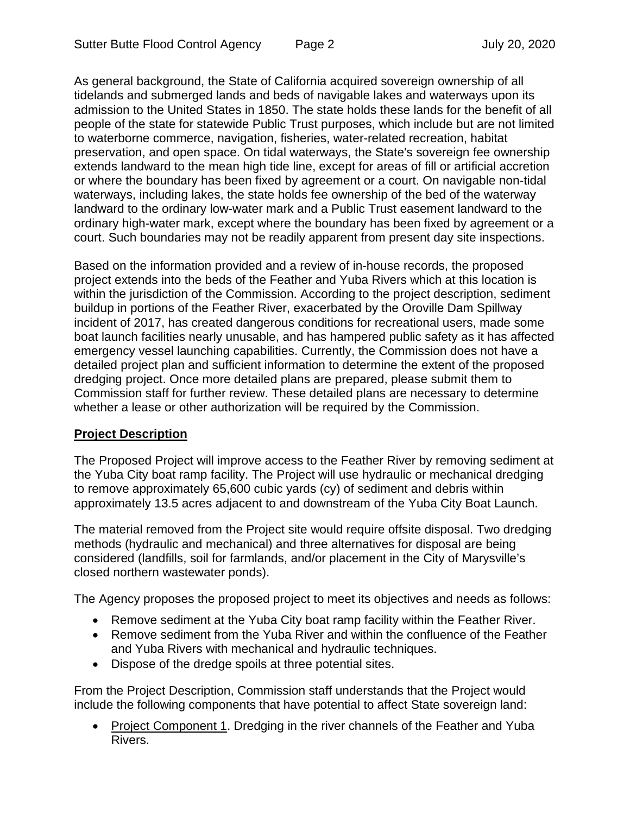As general background, the State of California acquired sovereign ownership of all tidelands and submerged lands and beds of navigable lakes and waterways upon its admission to the United States in 1850. The state holds these lands for the benefit of all people of the state for statewide Public Trust purposes, which include but are not limited to waterborne commerce, navigation, fisheries, water-related recreation, habitat preservation, and open space. On tidal waterways, the State's sovereign fee ownership extends landward to the mean high tide line, except for areas of fill or artificial accretion or where the boundary has been fixed by agreement or a court. On navigable non-tidal waterways, including lakes, the state holds fee ownership of the bed of the waterway landward to the ordinary low-water mark and a Public Trust easement landward to the ordinary high-water mark, except where the boundary has been fixed by agreement or a court. Such boundaries may not be readily apparent from present day site inspections.

Based on the information provided and a review of in-house records, the proposed project extends into the beds of the Feather and Yuba Rivers which at this location is within the jurisdiction of the Commission. According to the project description, sediment buildup in portions of the Feather River, exacerbated by the Oroville Dam Spillway incident of 2017, has created dangerous conditions for recreational users, made some boat launch facilities nearly unusable, and has hampered public safety as it has affected emergency vessel launching capabilities. Currently, the Commission does not have a detailed project plan and sufficient information to determine the extent of the proposed dredging project. Once more detailed plans are prepared, please submit them to Commission staff for further review. These detailed plans are necessary to determine whether a lease or other authorization will be required by the Commission.

## **Project Description**

The Proposed Project will improve access to the Feather River by removing sediment at the Yuba City boat ramp facility. The Project will use hydraulic or mechanical dredging to remove approximately 65,600 cubic yards (cy) of sediment and debris within approximately 13.5 acres adjacent to and downstream of the Yuba City Boat Launch.

The material removed from the Project site would require offsite disposal. Two dredging methods (hydraulic and mechanical) and three alternatives for disposal are being considered (landfills, soil for farmlands, and/or placement in the City of Marysville's closed northern wastewater ponds).

The Agency proposes the proposed project to meet its objectives and needs as follows:

- Remove sediment at the Yuba City boat ramp facility within the Feather River.
- Remove sediment from the Yuba River and within the confluence of the Feather and Yuba Rivers with mechanical and hydraulic techniques.
- Dispose of the dredge spoils at three potential sites.

From the Project Description, Commission staff understands that the Project would include the following components that have potential to affect State sovereign land:

• Project Component 1. Dredging in the river channels of the Feather and Yuba Rivers.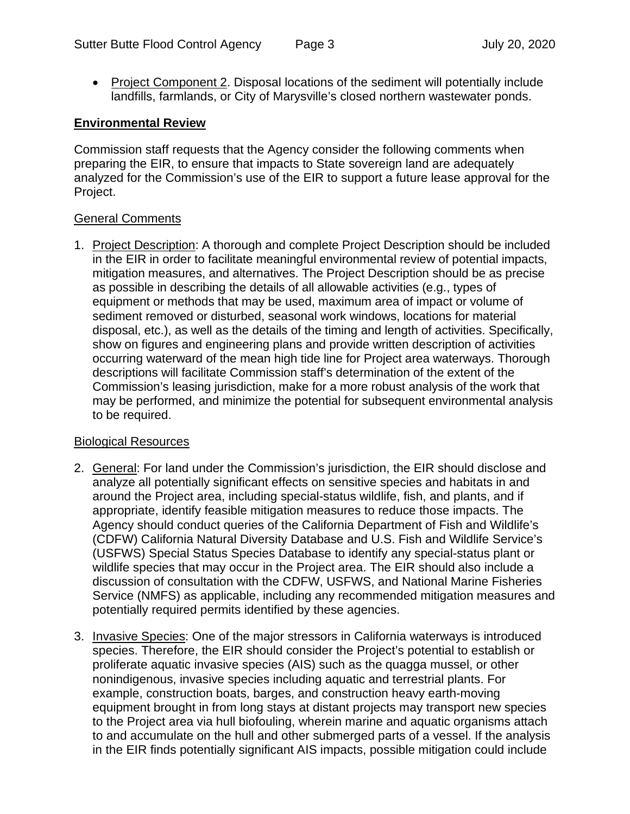• Project Component 2. Disposal locations of the sediment will potentially include landfills, farmlands, or City of Marysville's closed northern wastewater ponds.

# **Environmental Review**

Commission staff requests that the Agency consider the following comments when preparing the EIR, to ensure that impacts to State sovereign land are adequately analyzed for the Commission's use of the EIR to support a future lease approval for the Project.

## General Comments

1. Project Description: A thorough and complete Project Description should be included in the EIR in order to facilitate meaningful environmental review of potential impacts, mitigation measures, and alternatives. The Project Description should be as precise as possible in describing the details of all allowable activities (e.g., types of equipment or methods that may be used, maximum area of impact or volume of sediment removed or disturbed, seasonal work windows, locations for material disposal, etc.), as well as the details of the timing and length of activities. Specifically, show on figures and engineering plans and provide written description of activities occurring waterward of the mean high tide line for Project area waterways. Thorough descriptions will facilitate Commission staff's determination of the extent of the Commission's leasing jurisdiction, make for a more robust analysis of the work that may be performed, and minimize the potential for subsequent environmental analysis to be required.

## Biological Resources

- 2. General: For land under the Commission's jurisdiction, the EIR should disclose and analyze all potentially significant effects on sensitive species and habitats in and around the Project area, including special-status wildlife, fish, and plants, and if appropriate, identify feasible mitigation measures to reduce those impacts. The Agency should conduct queries of the California Department of Fish and Wildlife's (CDFW) California Natural Diversity Database and U.S. Fish and Wildlife Service's (USFWS) Special Status Species Database to identify any special-status plant or wildlife species that may occur in the Project area. The EIR should also include a discussion of consultation with the CDFW, USFWS, and National Marine Fisheries Service (NMFS) as applicable, including any recommended mitigation measures and potentially required permits identified by these agencies.
- 3. Invasive Species: One of the major stressors in California waterways is introduced species. Therefore, the EIR should consider the Project's potential to establish or proliferate aquatic invasive species (AIS) such as the quagga mussel, or other nonindigenous, invasive species including aquatic and terrestrial plants. For example, construction boats, barges, and construction heavy earth-moving equipment brought in from long stays at distant projects may transport new species to the Project area via hull biofouling, wherein marine and aquatic organisms attach to and accumulate on the hull and other submerged parts of a vessel. If the analysis in the EIR finds potentially significant AIS impacts, possible mitigation could include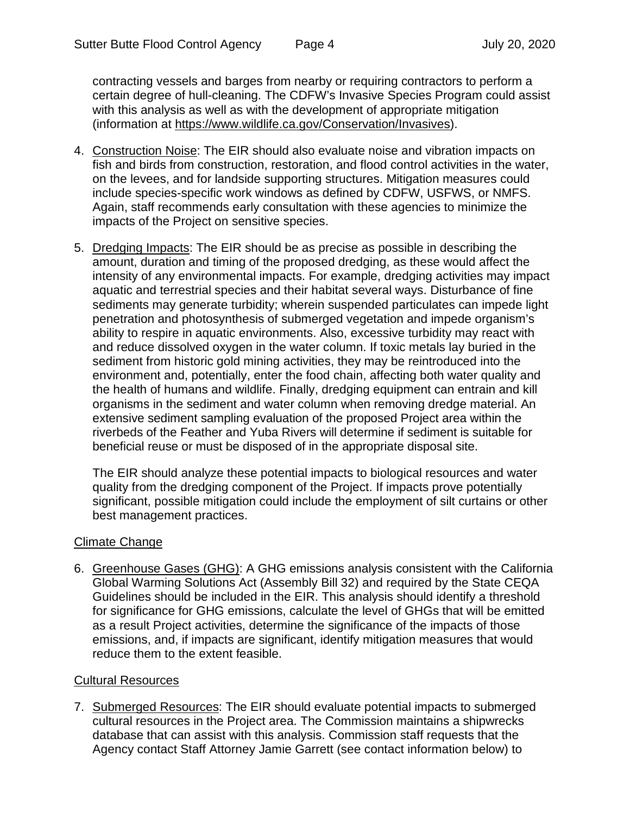contracting vessels and barges from nearby or requiring contractors to perform a certain degree of hull-cleaning. The CDFW's Invasive Species Program could assist with this analysis as well as with the development of appropriate mitigation (information at https://www.wildlife.ca.gov/Conservation/Invasives).

- 4. Construction Noise: The EIR should also evaluate noise and vibration impacts on fish and birds from construction, restoration, and flood control activities in the water, on the levees, and for landside supporting structures. Mitigation measures could include species-specific work windows as defined by CDFW, USFWS, or NMFS. Again, staff recommends early consultation with these agencies to minimize the impacts of the Project on sensitive species.
- 5. Dredging Impacts: The EIR should be as precise as possible in describing the amount, duration and timing of the proposed dredging, as these would affect the intensity of any environmental impacts. For example, dredging activities may impact aquatic and terrestrial species and their habitat several ways. Disturbance of fine sediments may generate turbidity; wherein suspended particulates can impede light penetration and photosynthesis of submerged vegetation and impede organism's ability to respire in aquatic environments. Also, excessive turbidity may react with and reduce dissolved oxygen in the water column. If toxic metals lay buried in the sediment from historic gold mining activities, they may be reintroduced into the environment and, potentially, enter the food chain, affecting both water quality and the health of humans and wildlife. Finally, dredging equipment can entrain and kill organisms in the sediment and water column when removing dredge material. An extensive sediment sampling evaluation of the proposed Project area within the riverbeds of the Feather and Yuba Rivers will determine if sediment is suitable for beneficial reuse or must be disposed of in the appropriate disposal site.

The EIR should analyze these potential impacts to biological resources and water quality from the dredging component of the Project. If impacts prove potentially significant, possible mitigation could include the employment of silt curtains or other best management practices.

## Climate Change

6. Greenhouse Gases (GHG): A GHG emissions analysis consistent with the California Global Warming Solutions Act (Assembly Bill 32) and required by the State CEQA Guidelines should be included in the EIR. This analysis should identify a threshold for significance for GHG emissions, calculate the level of GHGs that will be emitted as a result Project activities, determine the significance of the impacts of those emissions, and, if impacts are significant, identify mitigation measures that would reduce them to the extent feasible.

#### Cultural Resources

7. Submerged Resources: The EIR should evaluate potential impacts to submerged cultural resources in the Project area. The Commission maintains a shipwrecks database that can assist with this analysis. Commission staff requests that the Agency contact Staff Attorney Jamie Garrett (see contact information below) to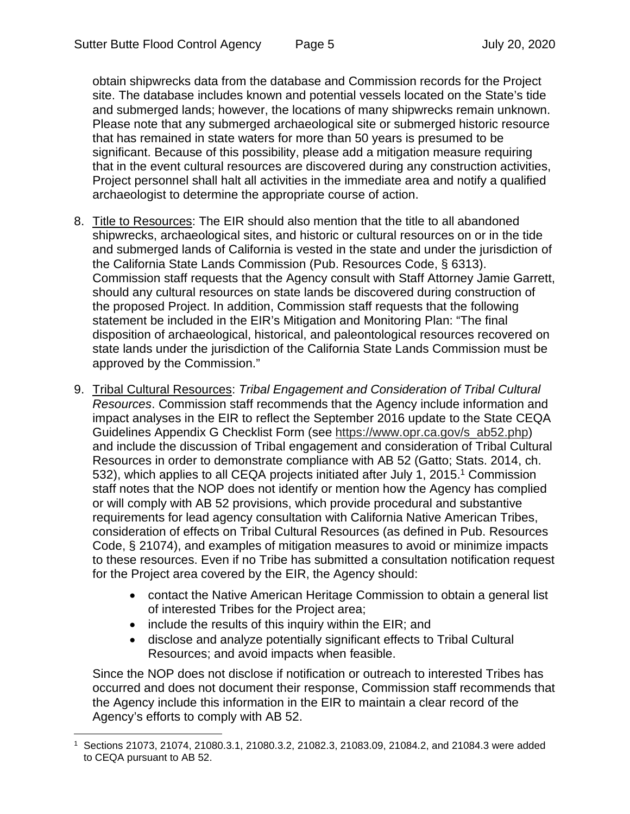obtain shipwrecks data from the database and Commission records for the Project site. The database includes known and potential vessels located on the State's tide and submerged lands; however, the locations of many shipwrecks remain unknown. Please note that any submerged archaeological site or submerged historic resource that has remained in state waters for more than 50 years is presumed to be significant. Because of this possibility, please add a mitigation measure requiring that in the event cultural resources are discovered during any construction activities, Project personnel shall halt all activities in the immediate area and notify a qualified archaeologist to determine the appropriate course of action.

- 8. Title to Resources: The EIR should also mention that the title to all abandoned shipwrecks, archaeological sites, and historic or cultural resources on or in the tide and submerged lands of California is vested in the state and under the jurisdiction of the California State Lands Commission (Pub. Resources Code, § 6313). Commission staff requests that the Agency consult with Staff Attorney Jamie Garrett, should any cultural resources on state lands be discovered during construction of the proposed Project. In addition, Commission staff requests that the following statement be included in the EIR's Mitigation and Monitoring Plan: "The final disposition of archaeological, historical, and paleontological resources recovered on state lands under the jurisdiction of the California State Lands Commission must be approved by the Commission."
- 9. Tribal Cultural Resources: *Tribal Engagement and Consideration of Tribal Cultural Resources*. Commission staff recommends that the Agency include information and impact analyses in the EIR to reflect the September 2016 update to the State CEQA Guidelines Appendix G Checklist Form (see https://www.opr.ca.gov/s\_ab52.php) and include the discussion of Tribal engagement and consideration of Tribal Cultural Resources in order to demonstrate compliance with AB 52 (Gatto; Stats. 2014, ch. 532), which applies to all CEQA projects initiated after July 1, 2015.<sup>1</sup> Commission staff notes that the NOP does not identify or mention how the Agency has complied or will comply with AB 52 provisions, which provide procedural and substantive requirements for lead agency consultation with California Native American Tribes, consideration of effects on Tribal Cultural Resources (as defined in Pub. Resources Code, § 21074), and examples of mitigation measures to avoid or minimize impacts to these resources. Even if no Tribe has submitted a consultation notification request for the Project area covered by the EIR, the Agency should:
	- contact the Native American Heritage Commission to obtain a general list of interested Tribes for the Project area;
	- $\bullet$  include the results of this inquiry within the EIR; and
	- disclose and analyze potentially significant effects to Tribal Cultural Resources; and avoid impacts when feasible.

Since the NOP does not disclose if notification or outreach to interested Tribes has occurred and does not document their response, Commission staff recommends that the Agency include this information in the EIR to maintain a clear record of the Agency's efforts to comply with AB 52.

<sup>1</sup> Sections 21073, 21074, 21080.3.1, 21080.3.2, 21082.3, 21083.09, 21084.2, and 21084.3 were added to CEQA pursuant to AB 52.